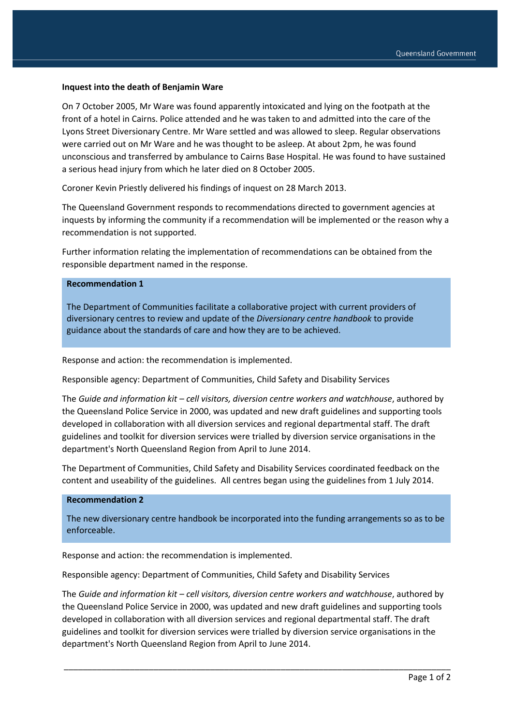## **Inquest into the death of Benjamin Ware**

On 7 October 2005, Mr Ware was found apparently intoxicated and lying on the footpath at the front of a hotel in Cairns. Police attended and he was taken to and admitted into the care of the Lyons Street Diversionary Centre. Mr Ware settled and was allowed to sleep. Regular observations were carried out on Mr Ware and he was thought to be asleep. At about 2pm, he was found unconscious and transferred by ambulance to Cairns Base Hospital. He was found to have sustained a serious head injury from which he later died on 8 October 2005.

Coroner Kevin Priestly delivered his findings of inquest on 28 March 2013.

The Queensland Government responds to recommendations directed to government agencies at inquests by informing the community if a recommendation will be implemented or the reason why a recommendation is not supported.

Further information relating the implementation of recommendations can be obtained from the responsible department named in the response.

## **Recommendation 1**

The Department of Communities facilitate a collaborative project with current providers of diversionary centres to review and update of the *Diversionary centre handbook* to provide guidance about the standards of care and how they are to be achieved.

Response and action: the recommendation is implemented.

Responsible agency: Department of Communities, Child Safety and Disability Services

The *Guide and information kit – cell visitors, diversion centre workers and watchhouse*, authored by the Queensland Police Service in 2000, was updated and new draft guidelines and supporting tools developed in collaboration with all diversion services and regional departmental staff. The draft guidelines and toolkit for diversion services were trialled by diversion service organisations in the department's North Queensland Region from April to June 2014.

The Department of Communities, Child Safety and Disability Services coordinated feedback on the content and useability of the guidelines. All centres began using the guidelines from 1 July 2014.

## **Recommendation 2**

The new diversionary centre handbook be incorporated into the funding arrangements so as to be enforceable.

Response and action: the recommendation is implemented.

Responsible agency: Department of Communities, Child Safety and Disability Services

The *Guide and information kit – cell visitors, diversion centre workers and watchhouse*, authored by the Queensland Police Service in 2000, was updated and new draft guidelines and supporting tools developed in collaboration with all diversion services and regional departmental staff. The draft guidelines and toolkit for diversion services were trialled by diversion service organisations in the department's North Queensland Region from April to June 2014.

\_\_\_\_\_\_\_\_\_\_\_\_\_\_\_\_\_\_\_\_\_\_\_\_\_\_\_\_\_\_\_\_\_\_\_\_\_\_\_\_\_\_\_\_\_\_\_\_\_\_\_\_\_\_\_\_\_\_\_\_\_\_\_\_\_\_\_\_\_\_\_\_\_\_\_\_\_\_\_\_\_\_